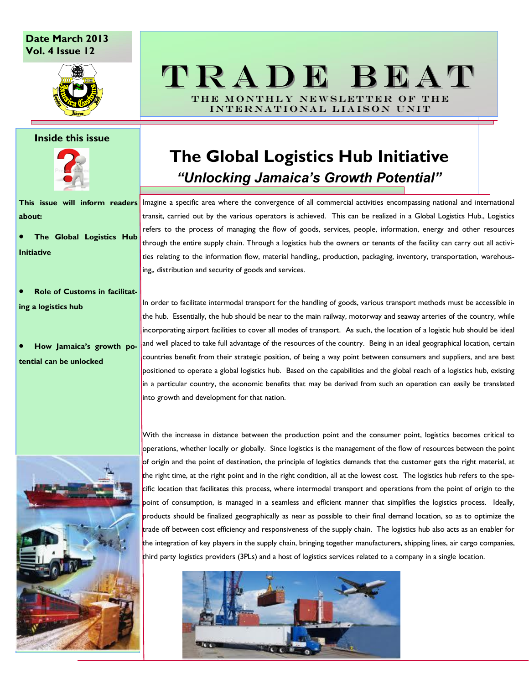### **Date March 2013 Vol. 4 Issue 12**



### **Inside this issue**



**about:**

· **The Global Logistics Hub Initiative**

- · **Role of Customs in facilitating a logistics hub**
- · **How Jamaica's growth po-**

### **tential can be unlocked**

# T R A D E B E A T THE MONTHLY NEWSLETTER OF THE

INTERNATIONAL LIAISON UNIT

# **The Global Logistics Hub Initiative** *"Unlocking Jamaica's Growth Potential"*

**This issue will inform readers**  Imagine a specific area where the convergence of all commercial activities encompassing national and international transit, carried out by the various operators is achieved. This can be realized in a Global Logistics Hub., Logistics refers to the process of managing the flow of goods, services, people, information, energy and other resources through the entire supply chain. Through a logistics hub the owners or tenants of the facility can carry out all activities relating to the information flow, material handling,, production, packaging, inventory, transportation, warehousing,, distribution and security of goods and services.

> In order to facilitate intermodal transport for the handling of goods, various transport methods must be accessible in the hub. Essentially, the hub should be near to the main railway, motorway and seaway arteries of the country, while incorporating airport facilities to cover all modes of transport. As such, the location of a logistic hub should be ideal and well placed to take full advantage of the resources of the country. Being in an ideal geographical location, certain countries benefit from their strategic position, of being a way point between consumers and suppliers, and are best positioned to operate a global logistics hub. Based on the capabilities and the global reach of a logistics hub, existing in a particular country, the economic benefits that may be derived from such an operation can easily be translated into growth and development for that nation.



With the increase in distance between the production point and the consumer point, logistics becomes critical to operations, whether locally or globally. Since logistics is the management of the flow of resources between the point of origin and the point of destination, the principle of logistics demands that the customer gets the right material, at the right time, at the right point and in the right condition, all at the lowest cost. The logistics hub refers to the specific location that facilitates this process, where intermodal transport and operations from the point of origin to the point of consumption, is managed in a seamless and efficient manner that simplifies the logistics process. Ideally, products should be finalized geographically as near as possible to their final demand location, so as to optimize the trade off between cost efficiency and responsiveness of the supply chain. The logistics hub also acts as an enabler for the integration of key players in the supply chain, bringing together manufacturers, shipping lines, air cargo companies, third party logistics providers (3PLs) and a host of logistics services related to a company in a single location.

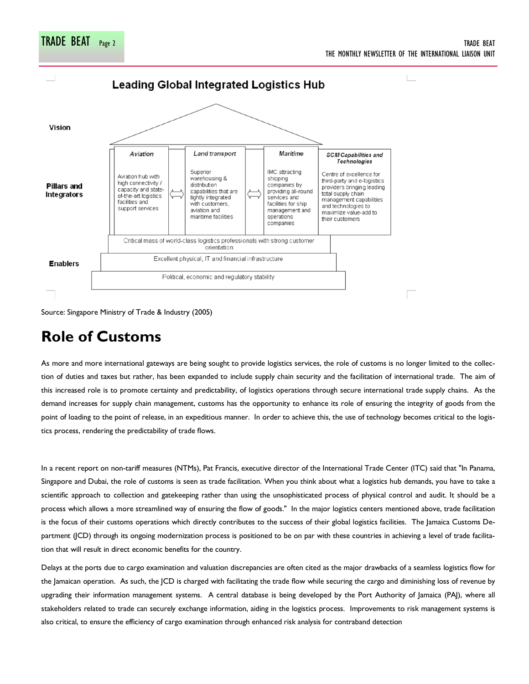

TRADE BEAT Page 2 TRADE BEAT

THE MONTHLY NEWSLETTER OF THE INTERNATIONAL LIAISON UNIT

Source: Singapore Ministry of Trade & Industry (2005)

# **Role of Customs**

As more and more international gateways are being sought to provide logistics services, the role of customs is no longer limited to the collection of duties and taxes but rather, has been expanded to include supply chain security and the facilitation of international trade. The aim of this increased role is to promote certainty and predictability, of logistics operations through secure international trade supply chains. As the demand increases for supply chain management, customs has the opportunity to enhance its role of ensuring the integrity of goods from the point of loading to the point of release, in an expeditious manner. In order to achieve this, the use of technology becomes critical to the logistics process, rendering the predictability of trade flows.

In a recent report on non-tariff measures (NTMs), Pat Francis, executive director of the International Trade Center (ITC) said that "In Panama, Singapore and Dubai, the role of customs is seen as trade facilitation. When you think about what a logistics hub demands, you have to take a scientific approach to collection and gatekeeping rather than using the unsophisticated process of physical control and audit. It should be a process which allows a more streamlined way of ensuring the flow of goods." In the major logistics centers mentioned above, trade facilitation is the focus of their customs operations which directly contributes to the success of their global logistics facilities. The Jamaica Customs Department (JCD) through its ongoing modernization process is positioned to be on par with these countries in achieving a level of trade facilitation that will result in direct economic benefits for the country.

Delays at the ports due to cargo examination and valuation discrepancies are often cited as the major drawbacks of a seamless logistics flow for the Jamaican operation. As such, the JCD is charged with facilitating the trade flow while securing the cargo and diminishing loss of revenue by upgrading their information management systems. A central database is being developed by the Port Authority of Jamaica (PAJ), where all stakeholders related to trade can securely exchange information, aiding in the logistics process. Improvements to risk management systems is also critical, to ensure the efficiency of cargo examination through enhanced risk analysis for contraband detection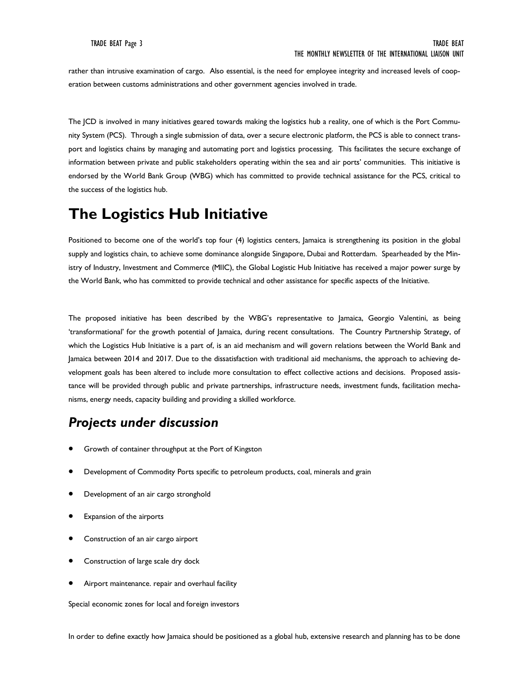rather than intrusive examination of cargo. Also essential, is the need for employee integrity and increased levels of cooperation between customs administrations and other government agencies involved in trade.

The JCD is involved in many initiatives geared towards making the logistics hub a reality, one of which is the Port Community System (PCS). Through a single submission of data, over a secure electronic platform, the PCS is able to connect transport and logistics chains by managing and automating port and logistics processing. This facilitates the secure exchange of information between private and public stakeholders operating within the sea and air ports' communities. This initiative is endorsed by the World Bank Group (WBG) which has committed to provide technical assistance for the PCS, critical to the success of the logistics hub.

## **The Logistics Hub Initiative**

Positioned to become one of the world's top four (4) logistics centers, Jamaica is strengthening its position in the global supply and logistics chain, to achieve some dominance alongside Singapore, Dubai and Rotterdam. Spearheaded by the Ministry of Industry, Investment and Commerce (MIIC), the Global Logistic Hub Initiative has received a major power surge by the World Bank, who has committed to provide technical and other assistance for specific aspects of the Initiative.

The proposed initiative has been described by the WBG's representative to Jamaica, Georgio Valentini, as being 'transformational' for the growth potential of Jamaica, during recent consultations. The Country Partnership Strategy, of which the Logistics Hub Initiative is a part of, is an aid mechanism and will govern relations between the World Bank and Jamaica between 2014 and 2017. Due to the dissatisfaction with traditional aid mechanisms, the approach to achieving development goals has been altered to include more consultation to effect collective actions and decisions. Proposed assistance will be provided through public and private partnerships, infrastructure needs, investment funds, facilitation mechanisms, energy needs, capacity building and providing a skilled workforce.

## *Projects under discussion*

- Growth of container throughput at the Port of Kingston
- Development of Commodity Ports specific to petroleum products, coal, minerals and grain
- Development of an air cargo stronghold
- Expansion of the airports
- Construction of an air cargo airport
- Construction of large scale dry dock
- Airport maintenance. repair and overhaul facility

Special economic zones for local and foreign investors

In order to define exactly how Jamaica should be positioned as a global hub, extensive research and planning has to be done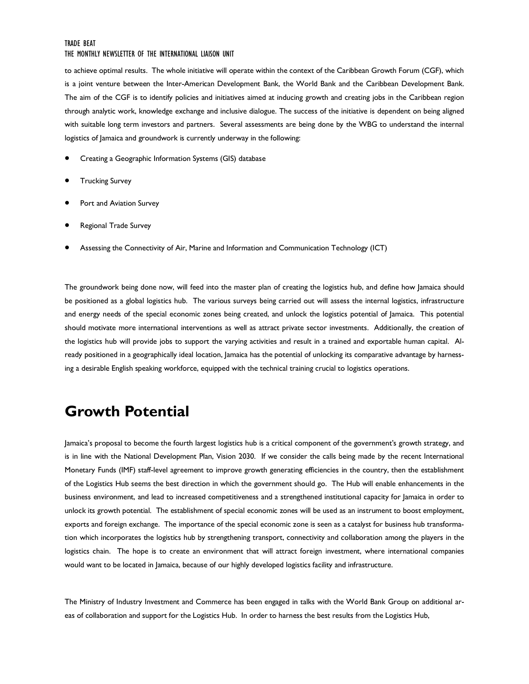#### TRADE BEAT

#### THE MONTHLY NEWSLETTER OF THE INTERNATIONAL LIAISON UNIT

to achieve optimal results. The whole initiative will operate within the context of the Caribbean Growth Forum (CGF), which is a joint venture between the Inter-American Development Bank, the World Bank and the Caribbean Development Bank. The aim of the CGF is to identify policies and initiatives aimed at inducing growth and creating jobs in the Caribbean region through analytic work, knowledge exchange and inclusive dialogue. The success of the initiative is dependent on being aligned with suitable long term investors and partners. Several assessments are being done by the WBG to understand the internal logistics of Jamaica and groundwork is currently underway in the following:

- · Creating a Geographic Information Systems (GIS) database
- **Trucking Survey**
- Port and Aviation Survey
- Regional Trade Survey
- · Assessing the Connectivity of Air, Marine and Information and Communication Technology (ICT)

The groundwork being done now, will feed into the master plan of creating the logistics hub, and define how Jamaica should be positioned as a global logistics hub. The various surveys being carried out will assess the internal logistics, infrastructure and energy needs of the special economic zones being created, and unlock the logistics potential of Jamaica. This potential should motivate more international interventions as well as attract private sector investments. Additionally, the creation of the logistics hub will provide jobs to support the varying activities and result in a trained and exportable human capital. Already positioned in a geographically ideal location, Jamaica has the potential of unlocking its comparative advantage by harnessing a desirable English speaking workforce, equipped with the technical training crucial to logistics operations.

## **Growth Potential**

Jamaica's proposal to become the fourth largest logistics hub is a critical component of the government's growth strategy, and is in line with the National Development Plan, Vision 2030. If we consider the calls being made by the recent International Monetary Funds (IMF) staff-level agreement to improve growth generating efficiencies in the country, then the establishment of the Logistics Hub seems the best direction in which the government should go. The Hub will enable enhancements in the business environment, and lead to increased competitiveness and a strengthened institutional capacity for Jamaica in order to unlock its growth potential. The establishment of special economic zones will be used as an instrument to boost employment, exports and foreign exchange. The importance of the special economic zone is seen as a catalyst for business hub transformation which incorporates the logistics hub by strengthening transport, connectivity and collaboration among the players in the logistics chain. The hope is to create an environment that will attract foreign investment, where international companies would want to be located in Jamaica, because of our highly developed logistics facility and infrastructure.

The Ministry of Industry Investment and Commerce has been engaged in talks with the World Bank Group on additional areas of collaboration and support for the Logistics Hub. In order to harness the best results from the Logistics Hub,